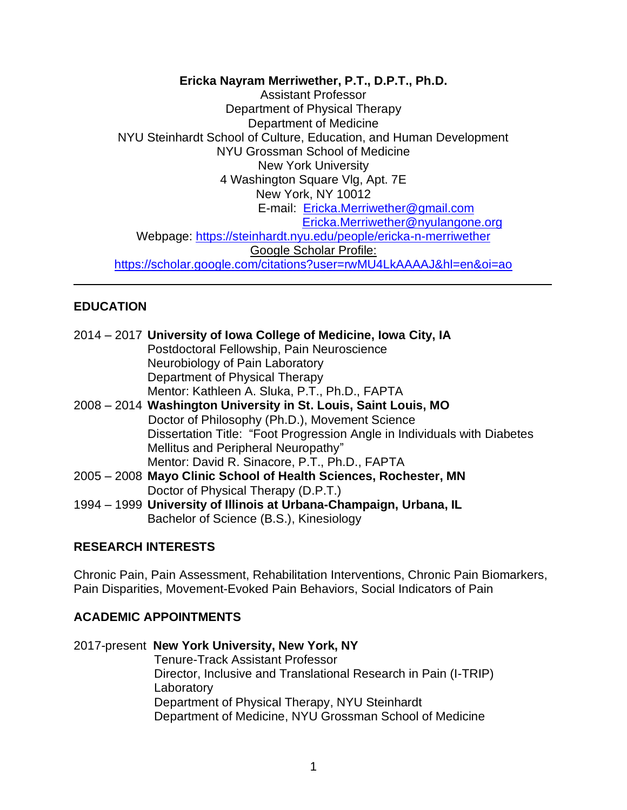**Ericka Nayram Merriwether, P.T., D.P.T., Ph.D.**

Assistant Professor Department of Physical Therapy Department of Medicine NYU Steinhardt School of Culture, Education, and Human Development NYU Grossman School of Medicine New York University 4 Washington Square Vlg, Apt. 7E New York, NY 10012 E-mail: [Ericka.Merriwether@gmail.com](mailto:Ericka.Merriwether@gmail.com) [Ericka.Merriwether@nyulangone.org](mailto:Ericka.Merriwether@nyulangone.org) Webpage:<https://steinhardt.nyu.edu/people/ericka-n-merriwether> Google Scholar Profile: <https://scholar.google.com/citations?user=rwMU4LkAAAAJ&hl=en&oi=ao> \_\_\_\_\_\_\_\_\_\_\_\_\_\_\_\_\_\_\_\_\_\_\_\_\_\_\_\_\_\_\_\_\_\_\_\_\_\_\_\_\_\_\_\_\_\_\_\_\_\_\_\_\_\_\_\_\_\_\_\_\_\_\_\_\_\_\_\_\_\_

### **EDUCATION**

|  | 2014 – 2017 University of Iowa College of Medicine, Iowa City, IA        |
|--|--------------------------------------------------------------------------|
|  | Postdoctoral Fellowship, Pain Neuroscience                               |
|  | Neurobiology of Pain Laboratory                                          |
|  | Department of Physical Therapy                                           |
|  | Mentor: Kathleen A. Sluka, P.T., Ph.D., FAPTA                            |
|  | 2008 – 2014 Washington University in St. Louis, Saint Louis, MO          |
|  | Doctor of Philosophy (Ph.D.), Movement Science                           |
|  | Dissertation Title: "Foot Progression Angle in Individuals with Diabetes |
|  | Mellitus and Peripheral Neuropathy"                                      |
|  | Mentor: David R. Sinacore, P.T., Ph.D., FAPTA                            |
|  | 2005 – 2008 Mayo Clinic School of Health Sciences, Rochester, MN         |
|  | Doctor of Physical Therapy (D.P.T.)                                      |
|  | 1994 – 1999 University of Illinois at Urbana-Champaign, Urbana, IL       |
|  | Bachelor of Science (B.S.), Kinesiology                                  |

### **RESEARCH INTERESTS**

Chronic Pain, Pain Assessment, Rehabilitation Interventions, Chronic Pain Biomarkers, Pain Disparities, Movement-Evoked Pain Behaviors, Social Indicators of Pain

### **ACADEMIC APPOINTMENTS**

### 2017-present **New York University, New York, NY**

Tenure-Track Assistant Professor Director, Inclusive and Translational Research in Pain (I-TRIP) Laboratory Department of Physical Therapy, NYU Steinhardt Department of Medicine, NYU Grossman School of Medicine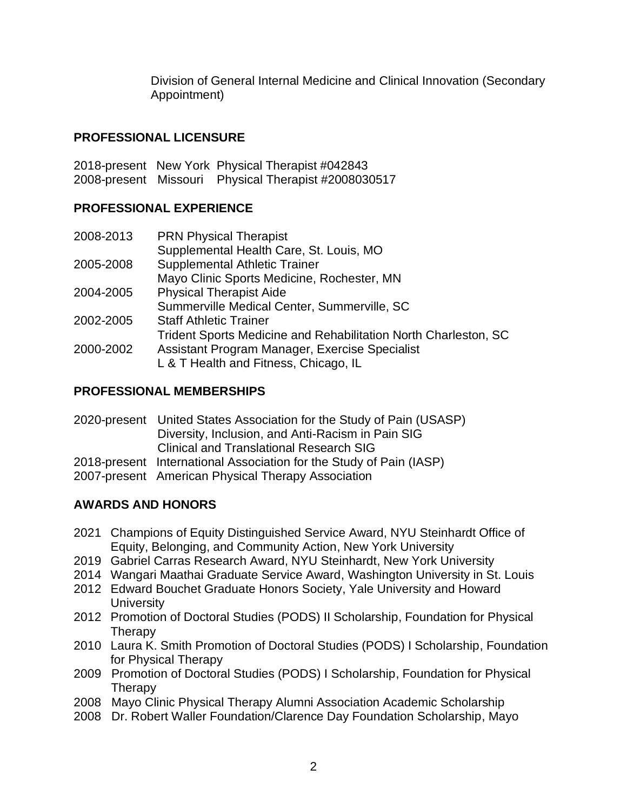Division of General Internal Medicine and Clinical Innovation (Secondary Appointment)

### **PROFESSIONAL LICENSURE**

2018-present New York Physical Therapist #042843 2008-present Missouri Physical Therapist #2008030517

### **PROFESSIONAL EXPERIENCE**

| 2008-2013 | <b>PRN Physical Therapist</b>                                   |
|-----------|-----------------------------------------------------------------|
|           | Supplemental Health Care, St. Louis, MO                         |
| 2005-2008 | <b>Supplemental Athletic Trainer</b>                            |
|           | Mayo Clinic Sports Medicine, Rochester, MN                      |
| 2004-2005 | <b>Physical Therapist Aide</b>                                  |
|           | Summerville Medical Center, Summerville, SC                     |
| 2002-2005 | <b>Staff Athletic Trainer</b>                                   |
|           | Trident Sports Medicine and Rehabilitation North Charleston, SC |
| 2000-2002 | Assistant Program Manager, Exercise Specialist                  |
|           | L & T Health and Fitness, Chicago, IL                           |

### **PROFESSIONAL MEMBERSHIPS**

| 2020-present United States Association for the Study of Pain (USASP) |
|----------------------------------------------------------------------|
| Diversity, Inclusion, and Anti-Racism in Pain SIG                    |
| Clinical and Translational Research SIG                              |
| 2018-present International Association for the Study of Pain (IASP)  |
| 2007-present American Physical Therapy Association                   |

## **AWARDS AND HONORS**

- 2021 Champions of Equity Distinguished Service Award, NYU Steinhardt Office of Equity, Belonging, and Community Action, New York University
- 2019 Gabriel Carras Research Award, NYU Steinhardt, New York University
- 2014 Wangari Maathai Graduate Service Award, Washington University in St. Louis
- 2012 Edward Bouchet Graduate Honors Society, Yale University and Howard **University**
- 2012 Promotion of Doctoral Studies (PODS) II Scholarship, Foundation for Physical **Therapy**
- 2010 Laura K. Smith Promotion of Doctoral Studies (PODS) I Scholarship, Foundation for Physical Therapy
- 2009 Promotion of Doctoral Studies (PODS) I Scholarship, Foundation for Physical **Therapy**
- 2008 Mayo Clinic Physical Therapy Alumni Association Academic Scholarship
- 2008 Dr. Robert Waller Foundation/Clarence Day Foundation Scholarship, Mayo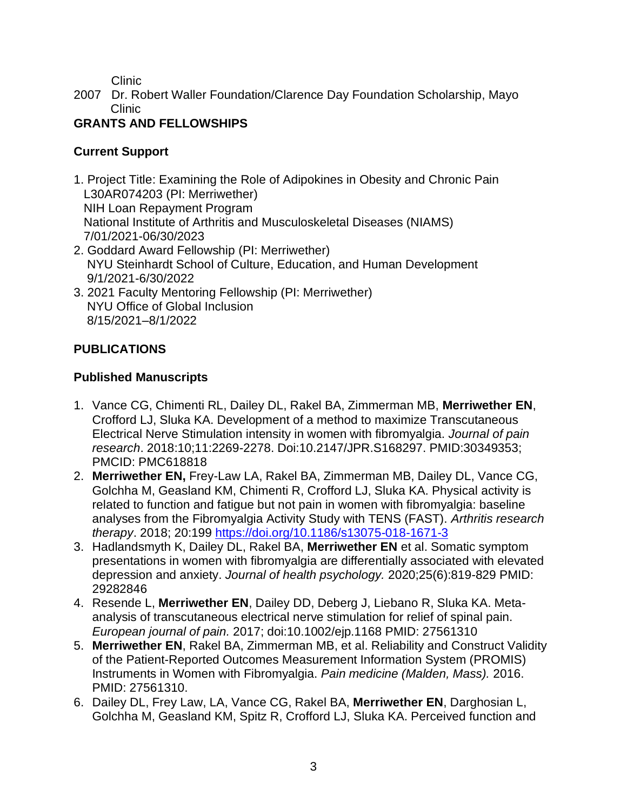Clinic

2007 Dr. Robert Waller Foundation/Clarence Day Foundation Scholarship, Mayo Clinic

## **GRANTS AND FELLOWSHIPS**

### **Current Support**

- 1. Project Title: Examining the Role of Adipokines in Obesity and Chronic Pain L30AR074203 (PI: Merriwether) NIH Loan Repayment Program National Institute of Arthritis and Musculoskeletal Diseases (NIAMS) 7/01/2021-06/30/2023
- 2. Goddard Award Fellowship (PI: Merriwether) NYU Steinhardt School of Culture, Education, and Human Development 9/1/2021-6/30/2022
- 3. 2021 Faculty Mentoring Fellowship (PI: Merriwether) NYU Office of Global Inclusion 8/15/2021–8/1/2022

## **PUBLICATIONS**

## **Published Manuscripts**

- 1. Vance CG, Chimenti RL, Dailey DL, Rakel BA, Zimmerman MB, **Merriwether EN**, Crofford LJ, Sluka KA. Development of a method to maximize Transcutaneous Electrical Nerve Stimulation intensity in women with fibromyalgia. *Journal of pain research*. 2018:10;11:2269-2278. Doi:10.2147/JPR.S168297. PMID:30349353; PMCID: PMC618818
- 2. **Merriwether EN,** Frey-Law LA, Rakel BA, Zimmerman MB, Dailey DL, Vance CG, Golchha M, Geasland KM, Chimenti R, Crofford LJ, Sluka KA. Physical activity is related to function and fatigue but not pain in women with fibromyalgia: baseline analyses from the Fibromyalgia Activity Study with TENS (FAST). *Arthritis research therapy*. 2018; 20:199<https://doi.org/10.1186/s13075-018-1671-3>
- 3. Hadlandsmyth K, Dailey DL, Rakel BA, **Merriwether EN** et al. Somatic symptom presentations in women with fibromyalgia are differentially associated with elevated depression and anxiety. *Journal of health psychology.* 2020;25(6):819-829 PMID: 29282846
- 4. Resende L, **Merriwether EN**, Dailey DD, Deberg J, Liebano R, Sluka KA. Metaanalysis of transcutaneous electrical nerve stimulation for relief of spinal pain. *European journal of pain.* 2017; doi:10.1002/ejp.1168 PMID: 27561310
- 5. **Merriwether EN**, Rakel BA, Zimmerman MB, et al. Reliability and Construct Validity of the Patient-Reported Outcomes Measurement Information System (PROMIS) Instruments in Women with Fibromyalgia. *Pain medicine (Malden, Mass).* 2016. PMID: 27561310.
- 6. Dailey DL, Frey Law, LA, Vance CG, Rakel BA, **Merriwether EN**, Darghosian L, Golchha M, Geasland KM, Spitz R, Crofford LJ, Sluka KA. Perceived function and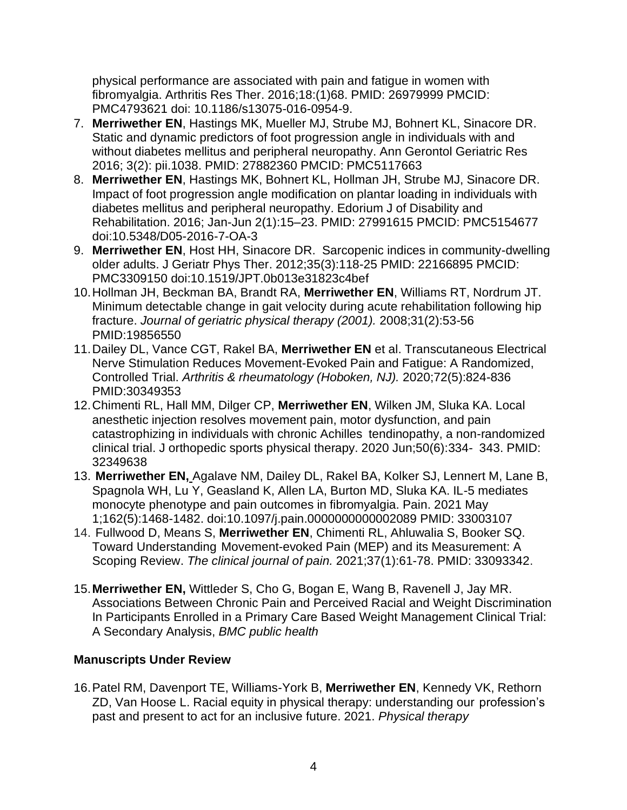physical performance are associated with pain and fatigue in women with fibromyalgia. Arthritis Res Ther. 2016;18:(1)68. PMID: 26979999 PMCID: PMC4793621 doi: 10.1186/s13075-016-0954-9.

- 7. **Merriwether EN**, Hastings MK, Mueller MJ, Strube MJ, Bohnert KL, Sinacore DR. Static and dynamic predictors of foot progression angle in individuals with and without diabetes mellitus and peripheral neuropathy. Ann Gerontol Geriatric Res 2016; 3(2): pii.1038. PMID: 27882360 PMCID: PMC5117663
- 8. **Merriwether EN**, Hastings MK, Bohnert KL, Hollman JH, Strube MJ, Sinacore DR. Impact of foot progression angle modification on plantar loading in individuals with diabetes mellitus and peripheral neuropathy. Edorium J of Disability and Rehabilitation. 2016; Jan-Jun 2(1):15–23. PMID: 27991615 PMCID: PMC5154677 doi:10.5348/D05-2016-7-OA-3
- 9. **Merriwether EN**, Host HH, Sinacore DR. Sarcopenic indices in community-dwelling older adults. J Geriatr Phys Ther. 2012;35(3):118-25 PMID: 22166895 PMCID: PMC3309150 doi:10.1519/JPT.0b013e31823c4bef
- 10.Hollman JH, Beckman BA, Brandt RA, **Merriwether EN**, Williams RT, Nordrum JT. Minimum detectable change in gait velocity during acute rehabilitation following hip fracture. *Journal of geriatric physical therapy (2001).* 2008;31(2):53-56 PMID:19856550
- 11.Dailey DL, Vance CGT, Rakel BA, **Merriwether EN** et al. Transcutaneous Electrical Nerve Stimulation Reduces Movement-Evoked Pain and Fatigue: A Randomized, Controlled Trial. *Arthritis & rheumatology (Hoboken, NJ).* 2020;72(5):824-836 PMID:30349353
- 12.Chimenti RL, Hall MM, Dilger CP, **Merriwether EN**, Wilken JM, Sluka KA. Local anesthetic injection resolves movement pain, motor dysfunction, and pain catastrophizing in individuals with chronic Achilles tendinopathy, a non-randomized clinical trial. J orthopedic sports physical therapy. 2020 Jun;50(6):334- 343. PMID: 32349638
- 13. **Merriwether EN,** Agalave NM, Dailey DL, Rakel BA, Kolker SJ, Lennert M, Lane B, Spagnola WH, Lu Y, Geasland K, Allen LA, Burton MD, Sluka KA. IL-5 mediates monocyte phenotype and pain outcomes in fibromyalgia. Pain. 2021 May 1;162(5):1468-1482. doi:10.1097/j.pain.0000000000002089 PMID: 33003107
- 14. Fullwood D, Means S, **Merriwether EN**, Chimenti RL, Ahluwalia S, Booker SQ. Toward Understanding Movement-evoked Pain (MEP) and its Measurement: A Scoping Review. *The clinical journal of pain.* 2021;37(1):61-78. PMID: 33093342.
- 15.**Merriwether EN,** Wittleder S, Cho G, Bogan E, Wang B, Ravenell J, Jay MR. Associations Between Chronic Pain and Perceived Racial and Weight Discrimination In Participants Enrolled in a Primary Care Based Weight Management Clinical Trial: A Secondary Analysis, *BMC public health*

## **Manuscripts Under Review**

16.Patel RM, Davenport TE, Williams-York B, **Merriwether EN**, Kennedy VK, Rethorn ZD, Van Hoose L. Racial equity in physical therapy: understanding our profession's past and present to act for an inclusive future. 2021. *Physical therapy*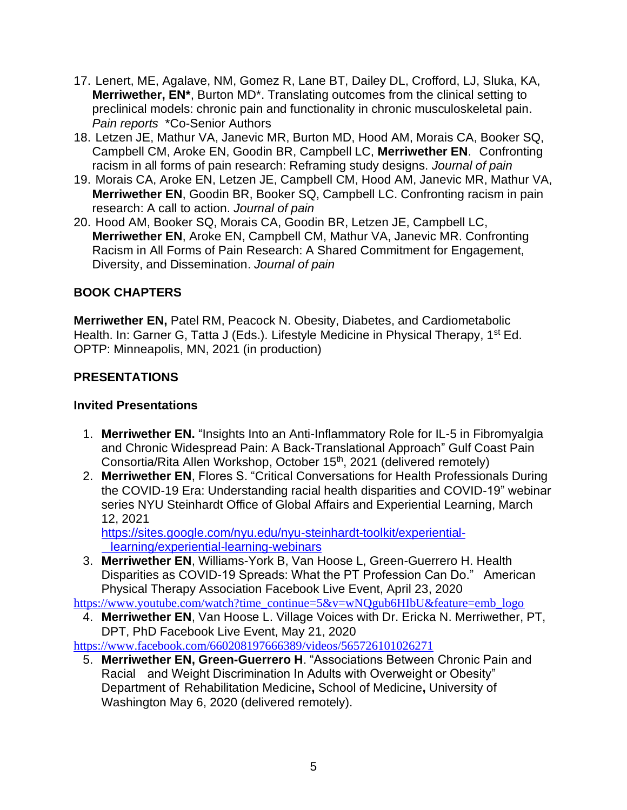- 17. Lenert, ME, Agalave, NM, Gomez R, Lane BT, Dailey DL, Crofford, LJ, Sluka, KA, **Merriwether, EN\***, Burton MD\*. Translating outcomes from the clinical setting to preclinical models: chronic pain and functionality in chronic musculoskeletal pain. *Pain reports* \*Co-Senior Authors
- 18. Letzen JE, Mathur VA, Janevic MR, Burton MD, Hood AM, Morais CA, Booker SQ, Campbell CM, Aroke EN, Goodin BR, Campbell LC, **Merriwether EN**. Confronting racism in all forms of pain research: Reframing study designs. *Journal of pain*
- 19. Morais CA, Aroke EN, Letzen JE, Campbell CM, Hood AM, Janevic MR, Mathur VA, **Merriwether EN**, Goodin BR, Booker SQ, Campbell LC. Confronting racism in pain research: A call to action. *Journal of pain*
- 20. Hood AM, Booker SQ, Morais CA, Goodin BR, Letzen JE, Campbell LC, **Merriwether EN**, Aroke EN, Campbell CM, Mathur VA, Janevic MR. Confronting Racism in All Forms of Pain Research: A Shared Commitment for Engagement, Diversity, and Dissemination. *Journal of pain*

### **BOOK CHAPTERS**

**Merriwether EN,** Patel RM, Peacock N. Obesity, Diabetes, and Cardiometabolic Health. In: Garner G, Tatta J (Eds.). Lifestyle Medicine in Physical Therapy, 1<sup>st</sup> Ed. OPTP: Minneapolis, MN, 2021 (in production)

### **PRESENTATIONS**

### **Invited Presentations**

- 1. **Merriwether EN.** "Insights Into an Anti-Inflammatory Role for IL-5 in Fibromyalgia and Chronic Widespread Pain: A Back-Translational Approach" Gulf Coast Pain Consortia/Rita Allen Workshop, October 15<sup>th</sup>, 2021 (delivered remotely)
- 2. **Merriwether EN**, Flores S. "Critical Conversations for Health Professionals During the COVID-19 Era: Understanding racial health disparities and COVID-19" webinar series NYU Steinhardt Office of Global Affairs and Experiential Learning, March 12, 2021

[https://sites.google.com/nyu.edu/nyu-steinhardt-toolkit/experiential](https://sites.google.com/nyu.edu/nyu-steinhardt-toolkit/experiential-%09learning/experiential-learning-webinars)[learning/experiential-learning-webinars](https://sites.google.com/nyu.edu/nyu-steinhardt-toolkit/experiential-%09learning/experiential-learning-webinars)

3. **Merriwether EN**, Williams-York B, Van Hoose L, Green-Guerrero H. Health Disparities as COVID-19 Spreads: What the PT Profession Can Do." American Physical Therapy Association Facebook Live Event, April 23, 2020

[https://www.youtube.com/watch?time\\_continue=5&v=wNQgub6HIbU&feature=emb\\_logo](https://www.youtube.com/watch?time_continue=5&v=wNQgub6HIbU&feature=emb_logo)

4. **Merriwether EN**, Van Hoose L. Village Voices with Dr. Ericka N. Merriwether, PT, DPT, PhD Facebook Live Event, May 21, 2020

<https://www.facebook.com/660208197666389/videos/565726101026271>

5. **Merriwether EN, Green-Guerrero H**. "Associations Between Chronic Pain and Racial and Weight Discrimination In Adults with Overweight or Obesity" Department of Rehabilitation Medicine**,** School of Medicine**,** University of Washington May 6, 2020 (delivered remotely).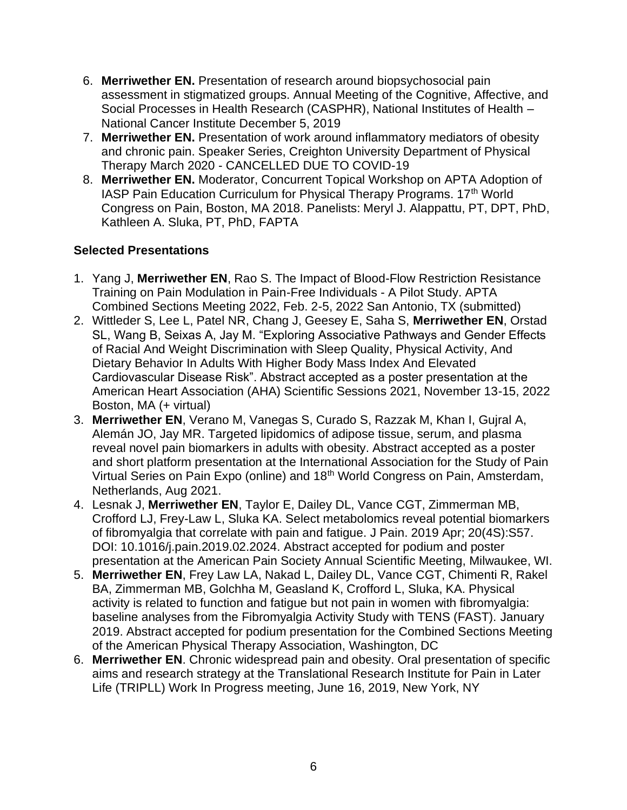- 6. **Merriwether EN.** Presentation of research around biopsychosocial pain assessment in stigmatized groups. Annual Meeting of the Cognitive, Affective, and Social Processes in Health Research (CASPHR), National Institutes of Health – National Cancer Institute December 5, 2019
- 7. **Merriwether EN.** Presentation of work around inflammatory mediators of obesity and chronic pain. Speaker Series, Creighton University Department of Physical Therapy March 2020 - CANCELLED DUE TO COVID-19
- 8. **Merriwether EN.** Moderator, Concurrent Topical Workshop on APTA Adoption of IASP Pain Education Curriculum for Physical Therapy Programs. 17<sup>th</sup> World Congress on Pain, Boston, MA 2018. Panelists: Meryl J. Alappattu, PT, DPT, PhD, Kathleen A. Sluka, PT, PhD, FAPTA

### **Selected Presentations**

- 1. Yang J, **Merriwether EN**, Rao S. The Impact of Blood-Flow Restriction Resistance Training on Pain Modulation in Pain-Free Individuals - A Pilot Study. APTA Combined Sections Meeting 2022, Feb. 2-5, 2022 San Antonio, TX (submitted)
- 2. Wittleder S, Lee L, Patel NR, Chang J, Geesey E, Saha S, **Merriwether EN**, Orstad SL, Wang B, Seixas A, Jay M. "Exploring Associative Pathways and Gender Effects of Racial And Weight Discrimination with Sleep Quality, Physical Activity, And Dietary Behavior In Adults With Higher Body Mass Index And Elevated Cardiovascular Disease Risk". Abstract accepted as a poster presentation at the American Heart Association (AHA) Scientific Sessions 2021, November 13-15, 2022 Boston, MA (+ virtual)
- 3. **Merriwether EN**, Verano M, Vanegas S, Curado S, Razzak M, Khan I, Gujral A, Alemán JO, Jay MR. Targeted lipidomics of adipose tissue, serum, and plasma reveal novel pain biomarkers in adults with obesity. Abstract accepted as a poster and short platform presentation at the International Association for the Study of Pain Virtual Series on Pain Expo (online) and 18<sup>th</sup> World Congress on Pain, Amsterdam, Netherlands, Aug 2021.
- 4. Lesnak J, **Merriwether EN**, Taylor E, Dailey DL, Vance CGT, Zimmerman MB, Crofford LJ, Frey-Law L, Sluka KA. Select metabolomics reveal potential biomarkers of fibromyalgia that correlate with pain and fatigue. J Pain. 2019 Apr; 20(4S):S57. DOI: 10.1016/j.pain.2019.02.2024. Abstract accepted for podium and poster presentation at the American Pain Society Annual Scientific Meeting, Milwaukee, WI.
- 5. **Merriwether EN**, Frey Law LA, Nakad L, Dailey DL, Vance CGT, Chimenti R, Rakel BA, Zimmerman MB, Golchha M, Geasland K, Crofford L, Sluka, KA. Physical activity is related to function and fatigue but not pain in women with fibromyalgia: baseline analyses from the Fibromyalgia Activity Study with TENS (FAST). January 2019. Abstract accepted for podium presentation for the Combined Sections Meeting of the American Physical Therapy Association, Washington, DC
- 6. **Merriwether EN**. Chronic widespread pain and obesity. Oral presentation of specific aims and research strategy at the Translational Research Institute for Pain in Later Life (TRIPLL) Work In Progress meeting, June 16, 2019, New York, NY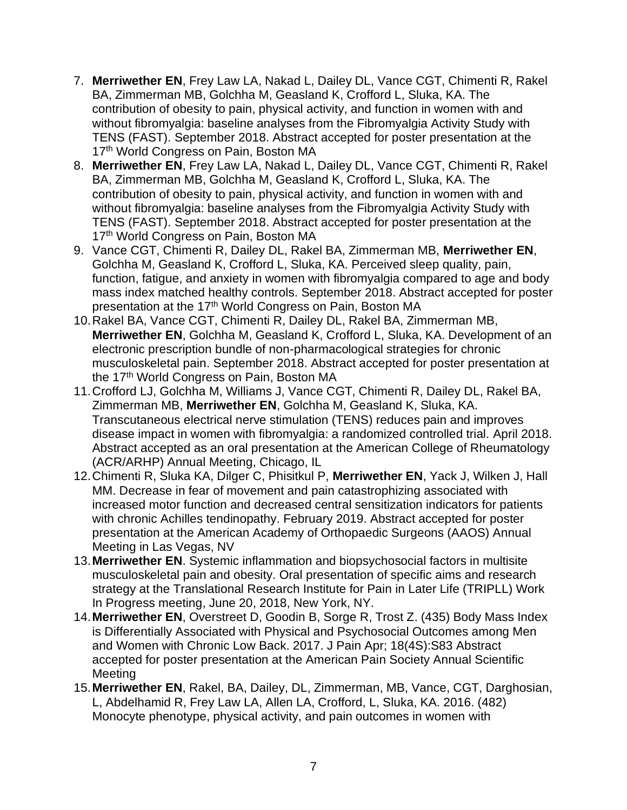- 7. **Merriwether EN**, Frey Law LA, Nakad L, Dailey DL, Vance CGT, Chimenti R, Rakel BA, Zimmerman MB, Golchha M, Geasland K, Crofford L, Sluka, KA. The contribution of obesity to pain, physical activity, and function in women with and without fibromyalgia: baseline analyses from the Fibromyalgia Activity Study with TENS (FAST). September 2018. Abstract accepted for poster presentation at the 17<sup>th</sup> World Congress on Pain, Boston MA
- 8. **Merriwether EN**, Frey Law LA, Nakad L, Dailey DL, Vance CGT, Chimenti R, Rakel BA, Zimmerman MB, Golchha M, Geasland K, Crofford L, Sluka, KA. The contribution of obesity to pain, physical activity, and function in women with and without fibromyalgia: baseline analyses from the Fibromyalgia Activity Study with TENS (FAST). September 2018. Abstract accepted for poster presentation at the 17<sup>th</sup> World Congress on Pain, Boston MA
- 9. Vance CGT, Chimenti R, Dailey DL, Rakel BA, Zimmerman MB, **Merriwether EN**, Golchha M, Geasland K, Crofford L, Sluka, KA. Perceived sleep quality, pain, function, fatigue, and anxiety in women with fibromyalgia compared to age and body mass index matched healthy controls. September 2018. Abstract accepted for poster presentation at the 17<sup>th</sup> World Congress on Pain, Boston MA
- 10.Rakel BA, Vance CGT, Chimenti R, Dailey DL, Rakel BA, Zimmerman MB, **Merriwether EN**, Golchha M, Geasland K, Crofford L, Sluka, KA. Development of an electronic prescription bundle of non-pharmacological strategies for chronic musculoskeletal pain. September 2018. Abstract accepted for poster presentation at the 17<sup>th</sup> World Congress on Pain, Boston MA
- 11.Crofford LJ, Golchha M, Williams J, Vance CGT, Chimenti R, Dailey DL, Rakel BA, Zimmerman MB, **Merriwether EN**, Golchha M, Geasland K, Sluka, KA. Transcutaneous electrical nerve stimulation (TENS) reduces pain and improves disease impact in women with fibromyalgia: a randomized controlled trial. April 2018. Abstract accepted as an oral presentation at the American College of Rheumatology (ACR/ARHP) Annual Meeting, Chicago, IL
- 12.Chimenti R, Sluka KA, Dilger C, Phisitkul P, **Merriwether EN**, Yack J, Wilken J, Hall MM. Decrease in fear of movement and pain catastrophizing associated with increased motor function and decreased central sensitization indicators for patients with chronic Achilles tendinopathy. February 2019. Abstract accepted for poster presentation at the American Academy of Orthopaedic Surgeons (AAOS) Annual Meeting in Las Vegas, NV
- 13.**Merriwether EN**. Systemic inflammation and biopsychosocial factors in multisite musculoskeletal pain and obesity. Oral presentation of specific aims and research strategy at the Translational Research Institute for Pain in Later Life (TRIPLL) Work In Progress meeting, June 20, 2018, New York, NY.
- 14.**Merriwether EN**, Overstreet D, Goodin B, Sorge R, Trost Z. (435) Body Mass Index is Differentially Associated with Physical and Psychosocial Outcomes among Men and Women with Chronic Low Back. 2017. J Pain Apr; 18(4S):S83 Abstract accepted for poster presentation at the American Pain Society Annual Scientific Meeting
- 15.**Merriwether EN**, Rakel, BA, Dailey, DL, Zimmerman, MB, Vance, CGT, Darghosian, L, Abdelhamid R, Frey Law LA, Allen LA, Crofford, L, Sluka, KA. 2016. (482) Monocyte phenotype, physical activity, and pain outcomes in women with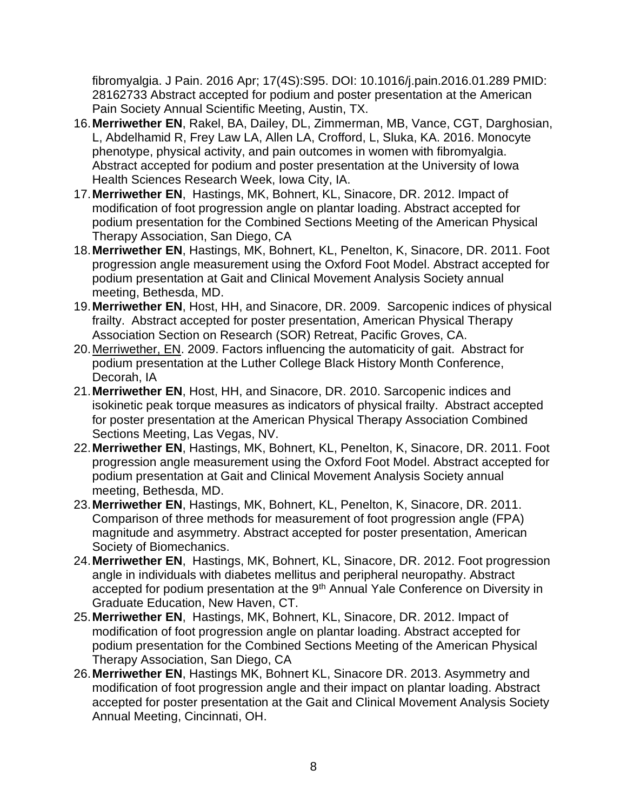fibromyalgia. J Pain. 2016 Apr; 17(4S):S95. DOI: 10.1016/j.pain.2016.01.289 PMID: 28162733 Abstract accepted for podium and poster presentation at the American Pain Society Annual Scientific Meeting, Austin, TX.

- 16.**Merriwether EN**, Rakel, BA, Dailey, DL, Zimmerman, MB, Vance, CGT, Darghosian, L, Abdelhamid R, Frey Law LA, Allen LA, Crofford, L, Sluka, KA. 2016. Monocyte phenotype, physical activity, and pain outcomes in women with fibromyalgia. Abstract accepted for podium and poster presentation at the University of Iowa Health Sciences Research Week, Iowa City, IA.
- 17.**Merriwether EN**, Hastings, MK, Bohnert, KL, Sinacore, DR. 2012. Impact of modification of foot progression angle on plantar loading. Abstract accepted for podium presentation for the Combined Sections Meeting of the American Physical Therapy Association, San Diego, CA
- 18.**Merriwether EN**, Hastings, MK, Bohnert, KL, Penelton, K, Sinacore, DR. 2011. Foot progression angle measurement using the Oxford Foot Model. Abstract accepted for podium presentation at Gait and Clinical Movement Analysis Society annual meeting, Bethesda, MD.
- 19.**Merriwether EN**, Host, HH, and Sinacore, DR. 2009. Sarcopenic indices of physical frailty. Abstract accepted for poster presentation, American Physical Therapy Association Section on Research (SOR) Retreat, Pacific Groves, CA.
- 20.Merriwether, EN. 2009. Factors influencing the automaticity of gait. Abstract for podium presentation at the Luther College Black History Month Conference, Decorah, IA
- 21.**Merriwether EN**, Host, HH, and Sinacore, DR. 2010. Sarcopenic indices and isokinetic peak torque measures as indicators of physical frailty. Abstract accepted for poster presentation at the American Physical Therapy Association Combined Sections Meeting, Las Vegas, NV.
- 22.**Merriwether EN**, Hastings, MK, Bohnert, KL, Penelton, K, Sinacore, DR. 2011. Foot progression angle measurement using the Oxford Foot Model. Abstract accepted for podium presentation at Gait and Clinical Movement Analysis Society annual meeting, Bethesda, MD.
- 23.**Merriwether EN**, Hastings, MK, Bohnert, KL, Penelton, K, Sinacore, DR. 2011. Comparison of three methods for measurement of foot progression angle (FPA) magnitude and asymmetry. Abstract accepted for poster presentation, American Society of Biomechanics.
- 24.**Merriwether EN**, Hastings, MK, Bohnert, KL, Sinacore, DR. 2012. Foot progression angle in individuals with diabetes mellitus and peripheral neuropathy. Abstract accepted for podium presentation at the 9<sup>th</sup> Annual Yale Conference on Diversity in Graduate Education, New Haven, CT.
- 25.**Merriwether EN**, Hastings, MK, Bohnert, KL, Sinacore, DR. 2012. Impact of modification of foot progression angle on plantar loading. Abstract accepted for podium presentation for the Combined Sections Meeting of the American Physical Therapy Association, San Diego, CA
- 26.**Merriwether EN**, Hastings MK, Bohnert KL, Sinacore DR. 2013. Asymmetry and modification of foot progression angle and their impact on plantar loading. Abstract accepted for poster presentation at the Gait and Clinical Movement Analysis Society Annual Meeting, Cincinnati, OH.